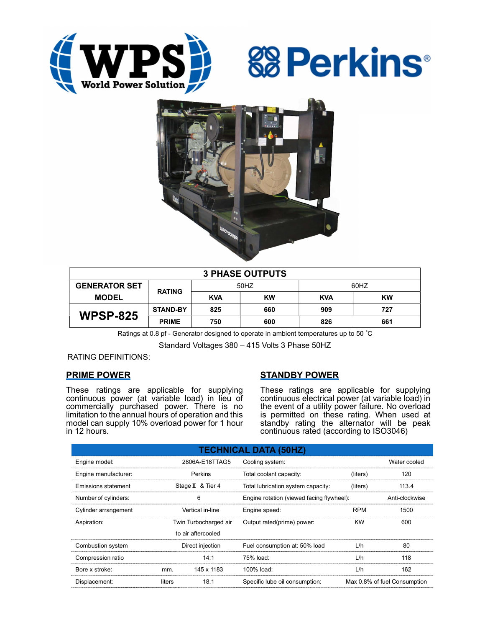





| <b>3 PHASE OUTPUTS</b> |                 |            |           |            |           |  |  |
|------------------------|-----------------|------------|-----------|------------|-----------|--|--|
| <b>GENERATOR SET</b>   | <b>RATING</b>   | 50HZ       |           | 60HZ       |           |  |  |
| <b>MODEL</b>           |                 | <b>KVA</b> | <b>KW</b> | <b>KVA</b> | <b>KW</b> |  |  |
| <b>WPSP-825</b>        | <b>STAND-BY</b> | 825        | 660       | 909        | 727       |  |  |
|                        | <b>PRIME</b>    | 750        | 600       | 826        | 661       |  |  |

Ratings at 0.8 pf - Generator designed to operate in ambient temperatures up to 50 °C

Standard Voltages 380 – 415 Volts 3 Phase 50HZ

RATING DEFINITIONS:

# PRIME POWER

These ratings are applicable for supplying continuous power (at variable load) in lieu of commercially purchased power. There is no limitation to the annual hours of operation and this model can supply 10% overload power for 1 hour in 12 hours.

# STANDBY POWER

These ratings are applicable for supplying continuous electrical power (at variable load) in the event of a utility power failure. No overload is permitted on these rating. When used at standby rating the alternator will be peak continuous rated (according to ISO3046)

| <b>TECHNICAL DATA (50HZ)</b> |                       |                    |                                           |                              |                |  |  |
|------------------------------|-----------------------|--------------------|-------------------------------------------|------------------------------|----------------|--|--|
| Engine model:                | 2806A-E18TTAG5        |                    | Cooling system:                           | Water cooled                 |                |  |  |
| Engine manufacturer:         | Perkins               |                    | Total coolant capacity:                   | (liters)                     | 120            |  |  |
| Emissions statement          |                       | Stage II & Tier 4  | Total lubrication system capacity:        | (liters)                     | 113.4          |  |  |
| Number of cylinders:         | 6                     |                    | Engine rotation (viewed facing flywheel): |                              | Anti-clockwise |  |  |
| Cylinder arrangement         | Vertical in-line      |                    | Engine speed:                             | <b>RPM</b>                   | 1500           |  |  |
| Aspiration:                  | Twin Turbocharged air |                    | Output rated(prime) power:                | <b>KW</b>                    | 600            |  |  |
|                              |                       | to air aftercooled |                                           |                              |                |  |  |
| Combustion system            | Direct injection      |                    | Fuel consumption at: 50% load             | L/h                          | 80             |  |  |
| Compression ratio            |                       | 14:1               | 75% load:                                 | L/h                          | 118            |  |  |
| Bore x stroke:               | mm.                   | 145 x 1183         | 100% load:                                | L/h                          | 162            |  |  |
| Displacement:                | 18.1<br>liters        |                    | Specific lube oil consumption:            | Max 0.8% of fuel Consumption |                |  |  |